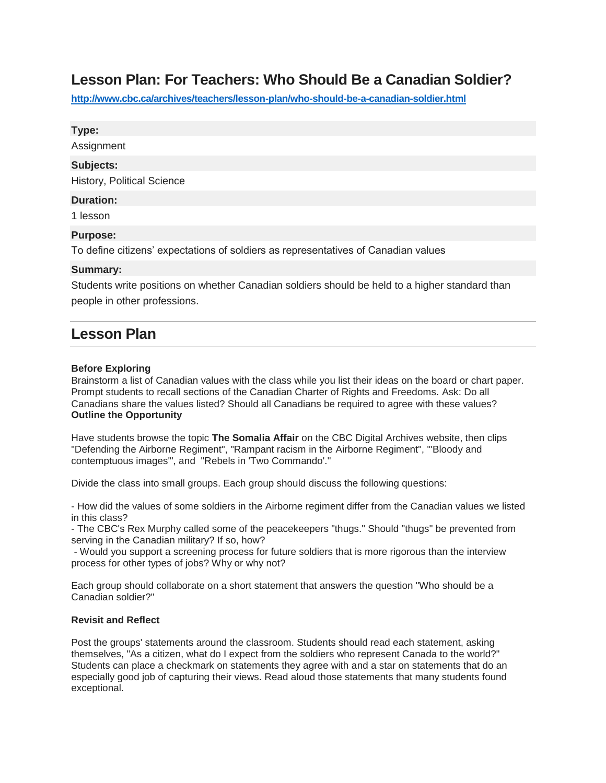# **Lesson Plan: For Teachers: Who Should Be a Canadian Soldier?**

**<http://www.cbc.ca/archives/teachers/lesson-plan/who-should-be-a-canadian-soldier.html>**

#### **Type:**

Assignment

#### **Subjects:**

History, Political Science

#### **Duration:**

1 lesson

# **Purpose:**

To define citizens' expectations of soldiers as representatives of Canadian values

# **Summary:**

Students write positions on whether Canadian soldiers should be held to a higher standard than people in other professions.

# **Lesson Plan**

#### **Before Exploring**

Brainstorm a list of Canadian values with the class while you list their ideas on the board or chart paper. Prompt students to recall sections of the Canadian Charter of Rights and Freedoms. Ask: Do all Canadians share the values listed? Should all Canadians be required to agree with these values? **Outline the Opportunity**

Have students browse the topic **The Somalia Affair** on the CBC Digital Archives website, then clips "Defending the Airborne Regiment", "Rampant racism in the Airborne Regiment", "'Bloody and contemptuous images'", and "Rebels in 'Two Commando'."

Divide the class into small groups. Each group should discuss the following questions:

- How did the values of some soldiers in the Airborne regiment differ from the Canadian values we listed in this class?

- The CBC's Rex Murphy called some of the peacekeepers "thugs." Should "thugs" be prevented from serving in the Canadian military? If so, how?

- Would you support a screening process for future soldiers that is more rigorous than the interview process for other types of jobs? Why or why not?

Each group should collaborate on a short statement that answers the question "Who should be a Canadian soldier?"

# **Revisit and Reflect**

Post the groups' statements around the classroom. Students should read each statement, asking themselves, "As a citizen, what do I expect from the soldiers who represent Canada to the world?" Students can place a checkmark on statements they agree with and a star on statements that do an especially good job of capturing their views. Read aloud those statements that many students found exceptional.